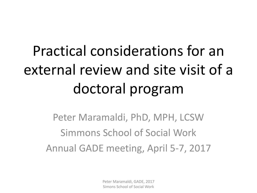# Practical considerations for an external review and site visit of a doctoral program

Peter Maramaldi, PhD, MPH, LCSW Simmons School of Social Work Annual GADE meeting, April 5-7, 2017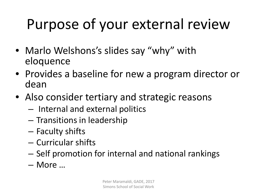# Purpose of your external review

- Marlo Welshons's slides say "why" with eloquence
- Provides a baseline for new a program director or dean
- Also consider tertiary and strategic reasons
	- Internal and external politics
	- Transitions in leadership
	- Faculty shifts
	- Curricular shifts
	- Self promotion for internal and national rankings
	- More …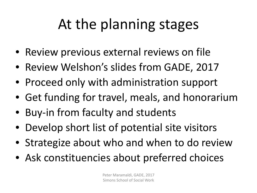# At the planning stages

- Review previous external reviews on file
- Review Welshon's slides from GADE, 2017
- Proceed only with administration support
- Get funding for travel, meals, and honorarium
- Buy-in from faculty and students
- Develop short list of potential site visitors
- Strategize about who and when to do review
- Ask constituencies about preferred choices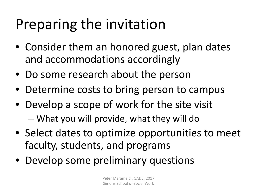# Preparing the invitation

- Consider them an honored guest, plan dates and accommodations accordingly
- Do some research about the person
- Determine costs to bring person to campus
- Develop a scope of work for the site visit
	- What you will provide, what they will do
- Select dates to optimize opportunities to meet faculty, students, and programs
- Develop some preliminary questions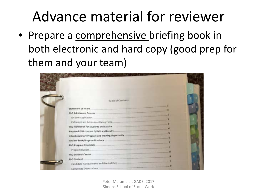### Advance material for reviewer

• Prepare a comprehensive briefing book in both electronic and hard copy (good prep for them and your team)

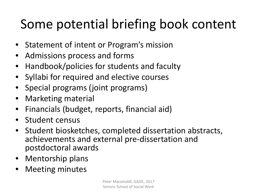#### Some potential briefing book content

- Statement of intent or Program's mission
- Admissions process and forms
- Handbook/policies for students and faculty
- Syllabi for required and elective courses
- Special programs (joint programs)
- Marketing material
- Financials (budget, reports, financial aid)
- Student census
- Student biosketches, completed dissertation abstracts, achievements and external pre-dissertation and postdoctoral awards
- Mentorship plans
- **Meeting minutes**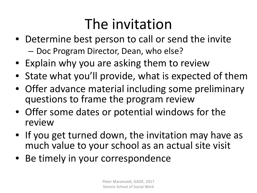### The invitation

- Determine best person to call or send the invite – Doc Program Director, Dean, who else?
- Explain why you are asking them to review
- State what you'll provide, what is expected of them
- Offer advance material including some preliminary questions to frame the program review
- Offer some dates or potential windows for the review
- If you get turned down, the invitation may have as much value to your school as an actual site visit
- Be timely in your correspondence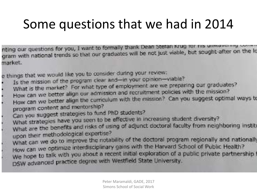#### Some questions that we had in 2014

nting our questions for you, I want to formally thank Dean Stefan Krug for his unwave my the lo nting our questions for you, I want to formally ulletin besit busit viable, but sought after on the Ic<br>gram with national trends so that our graduates will be not just viable, but sought after on the Ic market.

e things that we would like you to consider during your reviews.

- Is the mission of the program clear and-in your opinion-viable?
	- What is the market? For what type of employment are we preparing our graduates?
- How can we better align our admission and recruitment policies with the mission?
- How can we better align the curriculum with the mission? Can you suggest optimal ways to program content and mentorship?
- Can you suggest strategies to fund PhD students?
- Can you suggest suadegies to be effective in increasing student diversity?
- What strategies have you seen to strategie of adjunct doctoral faculty from neighboring institutional results upon their methodological expertise?
- what can we do to improve the notability of the doctoral program regionally and nationally How can we optimize interdisciplinary gains with the Harvard School of Public Health? We hope to talk with you about a recent initial exploration of a public private partnership I DSW advanced practice degree with Westfield State University.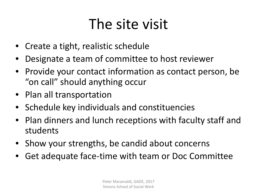### The site visit

- Create a tight, realistic schedule
- Designate a team of committee to host reviewer
- Provide your contact information as contact person, be "on call" should anything occur
- Plan all transportation
- Schedule key individuals and constituencies
- Plan dinners and lunch receptions with faculty staff and students
- Show your strengths, be candid about concerns
- Get adequate face-time with team or Doc Committee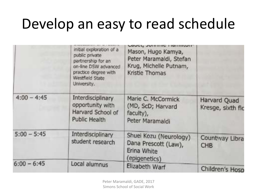### Develop an easy to read schedule

|               | initial exploration of a<br>public private<br>partnership for an<br>on-line DSW advanced<br>practice degree with<br>Westfield State<br>University. | Mason, Hugo Kamya,<br>Peter Maramaldi, Stefan<br>Krug, Michelle Putnam,<br>Kristie Thomas |                                   |
|---------------|----------------------------------------------------------------------------------------------------------------------------------------------------|-------------------------------------------------------------------------------------------|-----------------------------------|
| $4:00 - 4:45$ | Interdisciplinary<br>opportunity with<br>Harvard School of<br>Public Health                                                                        | Marie C. McCormick<br>(MD, ScD; Harvard<br>faculty),<br>Peter Maramaldi                   | Harvard Quad<br>Kresge, sixth flo |
| $5:00 - 5:45$ | Interdisciplinary<br>student research                                                                                                              | Shuel Kozu (Neurology)<br>Dana Prescott (Law),<br>Erina White<br>(epigenetics)            | Countway Libra<br><b>CHB</b>      |
| $6:00 - 6:45$ | Local alumnus                                                                                                                                      | Elizabeth Warf                                                                            | Children's Hosp                   |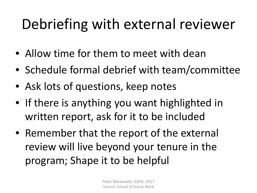## Debriefing with external reviewer

- Allow time for them to meet with dean
- Schedule formal debrief with team/committee
- Ask lots of questions, keep notes
- If there is anything you want highlighted in written report, ask for it to be included
- Remember that the report of the external review will live beyond your tenure in the program; Shape it to be helpful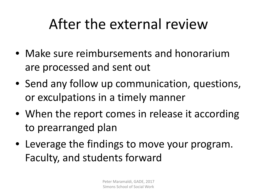### After the external review

- Make sure reimbursements and honorarium are processed and sent out
- Send any follow up communication, questions, or exculpations in a timely manner
- When the report comes in release it according to prearranged plan
- Leverage the findings to move your program. Faculty, and students forward